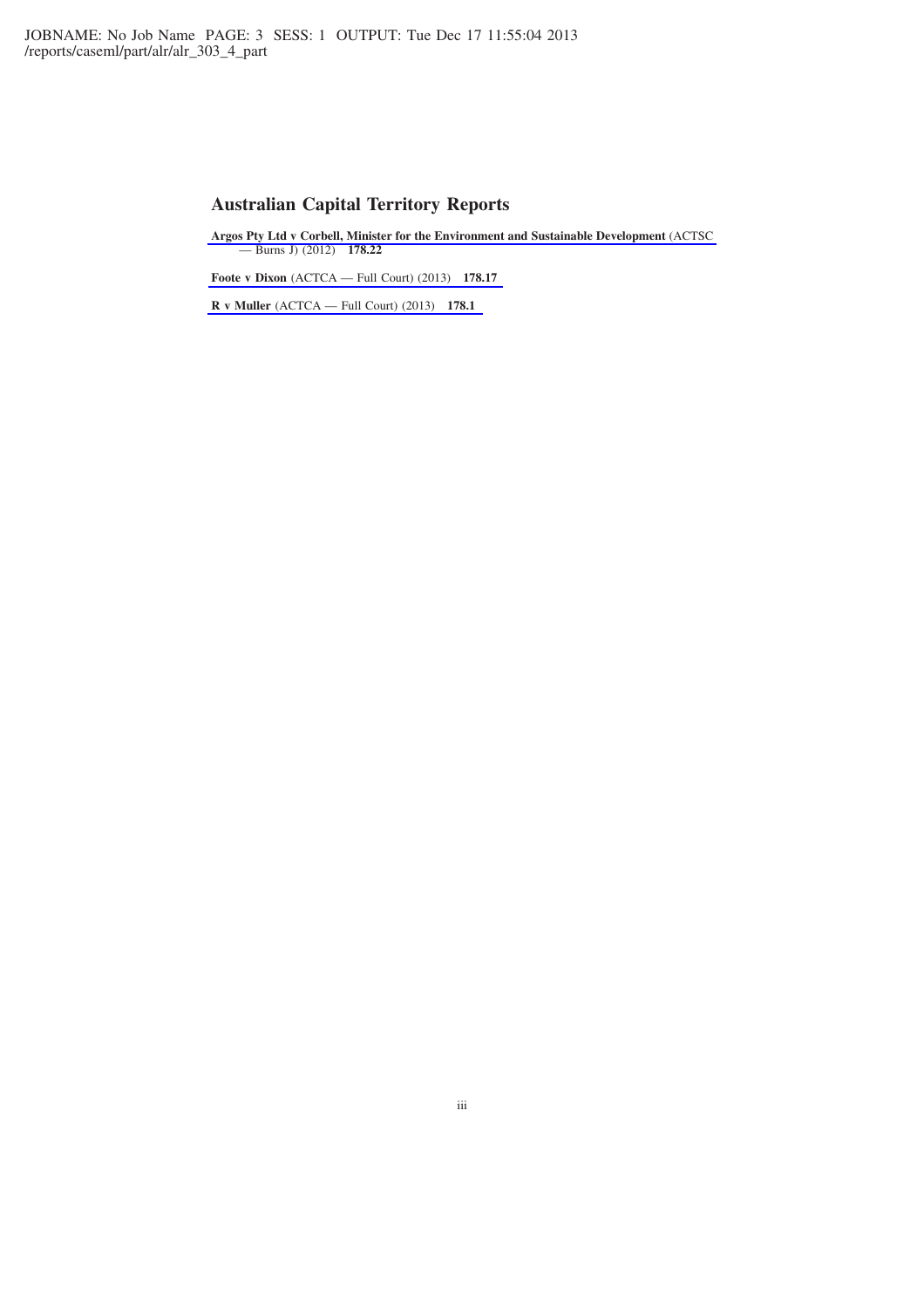# **Australian Capital Territory Reports**

**[Argos Pty Ltd v Corbell, Minister for the Environment and Sustainable Development](http://www.lexisnexis.com/au/legal/docview/getDocForCuiReq?lni=5B49-YDK1-DY5B-D1GY&csi=267690&oc=00240&perma=true)** (ACTSC — Burns J) (2012) **178.22**

**Foote v Dixon** [\(ACTCA — Full Court\) \(2013\)](http://www.lexisnexis.com/au/legal/docview/getDocForCuiReq?lni=5B49-YDK1-DY5B-D2MV&csi=267690&oc=00240&perma=true) **178.17**

**R v Muller** [\(ACTCA — Full Court\) \(2013\)](http://www.lexisnexis.com/au/legal/docview/getDocForCuiReq?lni=5B49-YDK1-DY5B-D2N7&csi=267690&oc=00240&perma=true) **178.1**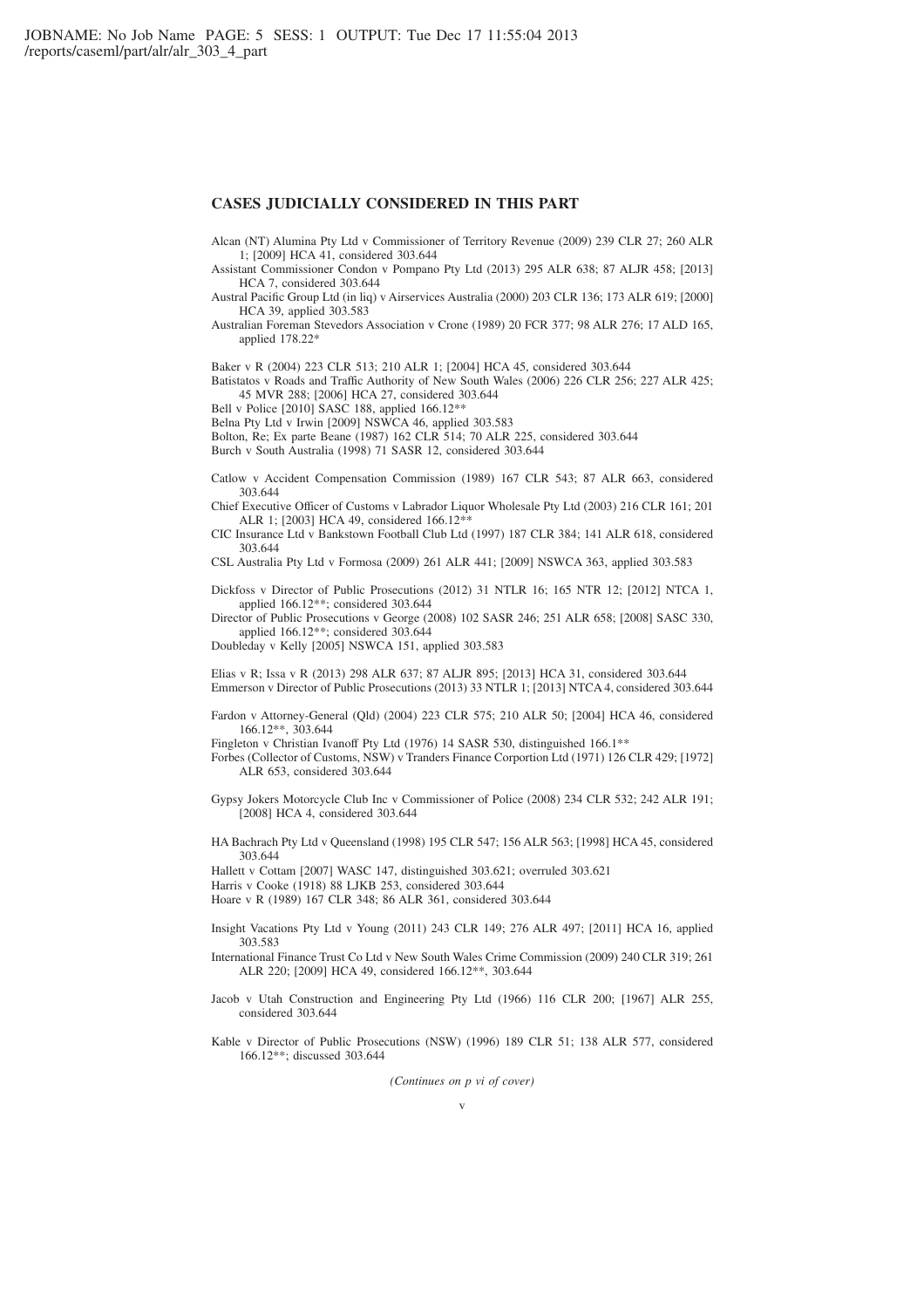### **CASES JUDICIALLY CONSIDERED IN THIS PART**

Alcan (NT) Alumina Pty Ltd v Commissioner of Territory Revenue (2009) 239 CLR 27; 260 ALR 1; [2009] HCA 41, considered 303.644

Assistant Commissioner Condon v Pompano Pty Ltd (2013) 295 ALR 638; 87 ALJR 458; [2013] HCA 7, considered 303.644

Austral Pacific Group Ltd (in liq) v Airservices Australia (2000) 203 CLR 136; 173 ALR 619; [2000] HCA 39, applied 303.583

Australian Foreman Stevedors Association v Crone (1989) 20 FCR 377; 98 ALR 276; 17 ALD 165, applied 178.22\*

Baker v R (2004) 223 CLR 513; 210 ALR 1; [2004] HCA 45, considered 303.644

Batistatos v Roads and Traffic Authority of New South Wales (2006) 226 CLR 256; 227 ALR 425; 45 MVR 288; [2006] HCA 27, considered 303.644

Bell v Police [2010] SASC 188, applied 166.12\*\*

Belna Pty Ltd v Irwin [2009] NSWCA 46, applied 303.583

Bolton, Re; Ex parte Beane (1987) 162 CLR 514; 70 ALR 225, considered 303.644

Burch v South Australia (1998) 71 SASR 12, considered 303.644

Catlow v Accident Compensation Commission (1989) 167 CLR 543; 87 ALR 663, considered 303.644

Chief Executive Officer of Customs v Labrador Liquor Wholesale Pty Ltd (2003) 216 CLR 161; 201 ALR 1; [2003] HCA 49, considered 166.12\*\*

CIC Insurance Ltd v Bankstown Football Club Ltd (1997) 187 CLR 384; 141 ALR 618, considered 303.644

CSL Australia Pty Ltd v Formosa (2009) 261 ALR 441; [2009] NSWCA 363, applied 303.583

Dickfoss v Director of Public Prosecutions (2012) 31 NTLR 16; 165 NTR 12; [2012] NTCA 1, applied 166.12\*\*; considered 303.644

Director of Public Prosecutions v George (2008) 102 SASR 246; 251 ALR 658; [2008] SASC 330, applied 166.12\*\*; considered 303.644

Doubleday v Kelly [2005] NSWCA 151, applied 303.583

Elias v R; Issa v R (2013) 298 ALR 637; 87 ALJR 895; [2013] HCA 31, considered 303.644 Emmerson v Director of Public Prosecutions (2013) 33 NTLR 1; [2013] NTCA 4, considered 303.644

Fardon v Attorney-General (Qld) (2004) 223 CLR 575; 210 ALR 50; [2004] HCA 46, considered 166.12\*\*, 303.644

Fingleton v Christian Ivanoff Pty Ltd (1976) 14 SASR 530, distinguished 166.1\*\*

Forbes (Collector of Customs, NSW) v Tranders Finance Corportion Ltd (1971) 126 CLR 429; [1972] ALR 653, considered 303.644

Gypsy Jokers Motorcycle Club Inc v Commissioner of Police (2008) 234 CLR 532; 242 ALR 191; [2008] HCA 4, considered 303.644

HA Bachrach Pty Ltd v Queensland (1998) 195 CLR 547; 156 ALR 563; [1998] HCA 45, considered 303.644

Hallett v Cottam [2007] WASC 147, distinguished 303.621; overruled 303.621

Harris v Cooke (1918) 88 LJKB 253, considered 303.644

Hoare v R (1989) 167 CLR 348; 86 ALR 361, considered 303.644

- Insight Vacations Pty Ltd v Young (2011) 243 CLR 149; 276 ALR 497; [2011] HCA 16, applied 303.583
- International Finance Trust Co Ltd v New South Wales Crime Commission (2009) 240 CLR 319; 261 ALR 220; [2009] HCA 49, considered 166.12\*\*, 303.644
- Jacob v Utah Construction and Engineering Pty Ltd (1966) 116 CLR 200; [1967] ALR 255, considered 303.644

Kable v Director of Public Prosecutions (NSW) (1996) 189 CLR 51; 138 ALR 577, considered 166.12\*\*; discussed 303.644

*(Continues on p vi of cover)*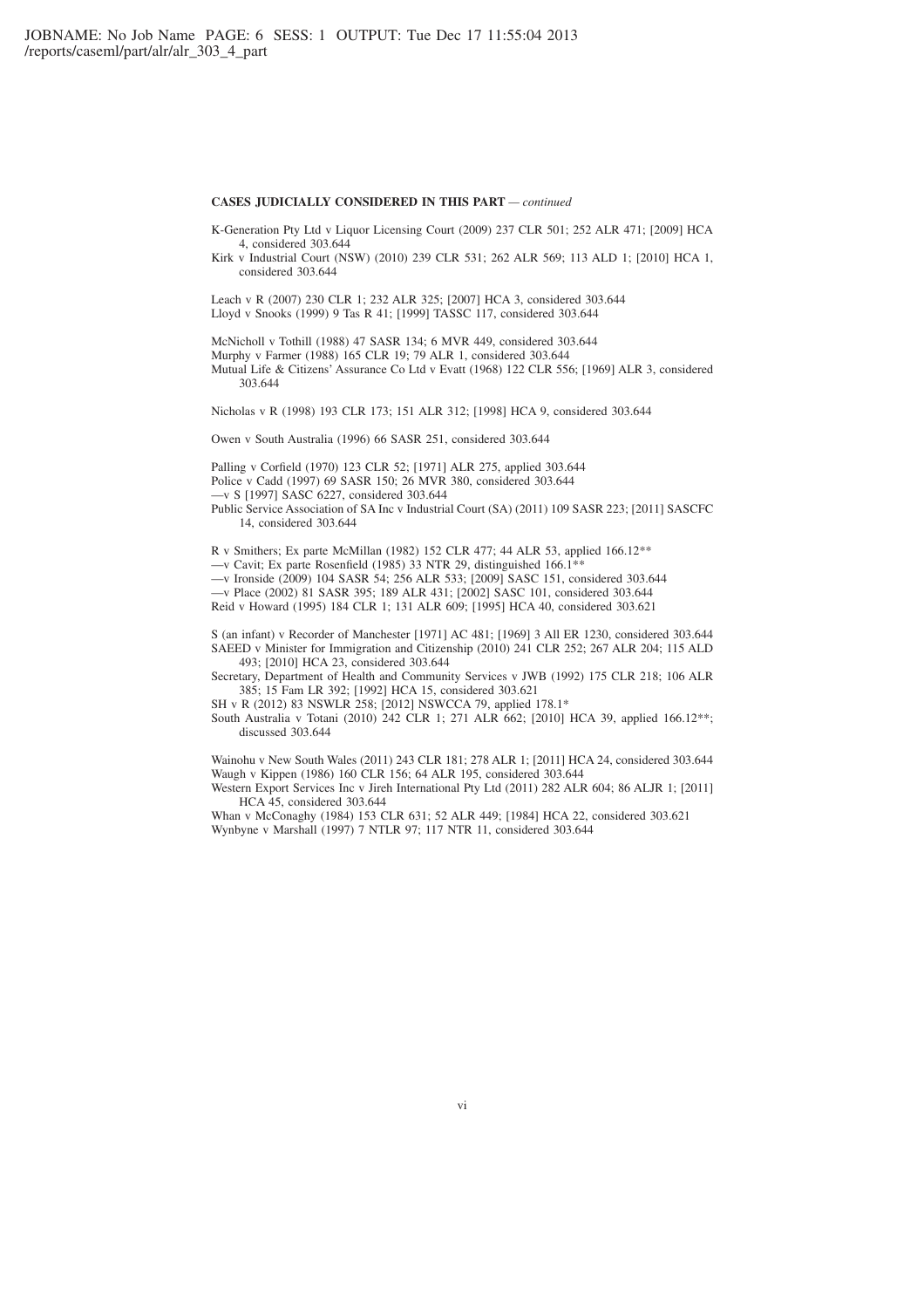#### **CASES JUDICIALLY CONSIDERED IN THIS PART** *— continued*

K-Generation Pty Ltd v Liquor Licensing Court (2009) 237 CLR 501; 252 ALR 471; [2009] HCA 4, considered 303.644

Kirk v Industrial Court (NSW) (2010) 239 CLR 531; 262 ALR 569; 113 ALD 1; [2010] HCA 1, considered 303.644

Leach v R (2007) 230 CLR 1; 232 ALR 325; [2007] HCA 3, considered 303.644 Lloyd v Snooks (1999) 9 Tas R 41; [1999] TASSC 117, considered 303.644

McNicholl v Tothill (1988) 47 SASR 134; 6 MVR 449, considered 303.644 Murphy v Farmer (1988) 165 CLR 19; 79 ALR 1, considered 303.644 Mutual Life & Citizens' Assurance Co Ltd v Evatt (1968) 122 CLR 556; [1969] ALR 3, considered 303.644

Nicholas v R (1998) 193 CLR 173; 151 ALR 312; [1998] HCA 9, considered 303.644

Owen v South Australia (1996) 66 SASR 251, considered 303.644

Palling v Corfield (1970) 123 CLR 52; [1971] ALR 275, applied 303.644 Police v Cadd (1997) 69 SASR 150; 26 MVR 380, considered 303.644 —v S [1997] SASC 6227, considered 303.644 Public Service Association of SA Inc v Industrial Court (SA) (2011) 109 SASR 223; [2011] SASCFC 14, considered 303.644

R v Smithers; Ex parte McMillan (1982) 152 CLR 477; 44 ALR 53, applied 166.12\*\* —v Cavit; Ex parte Rosenfield (1985) 33 NTR 29, distinguished  $166.1^*$ —v Ironside (2009) 104 SASR 54; 256 ALR 533; [2009] SASC 151, considered 303.644 —v Place (2002) 81 SASR 395; 189 ALR 431; [2002] SASC 101, considered 303.644

Reid v Howard (1995) 184 CLR 1; 131 ALR 609; [1995] HCA 40, considered 303.621

S (an infant) v Recorder of Manchester [1971] AC 481; [1969] 3 All ER 1230, considered 303.644 SAEED v Minister for Immigration and Citizenship (2010) 241 CLR 252; 267 ALR 204; 115 ALD 493; [2010] HCA 23, considered 303.644

Secretary, Department of Health and Community Services v JWB (1992) 175 CLR 218; 106 ALR 385; 15 Fam LR 392; [1992] HCA 15, considered 303.621

SH v R (2012) 83 NSWLR 258; [2012] NSWCCA 79, applied 178.1\*

South Australia v Totani (2010) 242 CLR 1; 271 ALR 662; [2010] HCA 39, applied 166.12\*\*; discussed 303.644

Wainohu v New South Wales (2011) 243 CLR 181; 278 ALR 1; [2011] HCA 24, considered 303.644 Waugh v Kippen (1986) 160 CLR 156; 64 ALR 195, considered 303.644

Western Export Services Inc v Jireh International Pty Ltd (2011) 282 ALR 604; 86 ALJR 1; [2011] HCA 45, considered 303.644

Whan v McConaghy (1984) 153 CLR 631; 52 ALR 449; [1984] HCA 22, considered 303.621 Wynbyne v Marshall (1997) 7 NTLR 97; 117 NTR 11, considered 303.644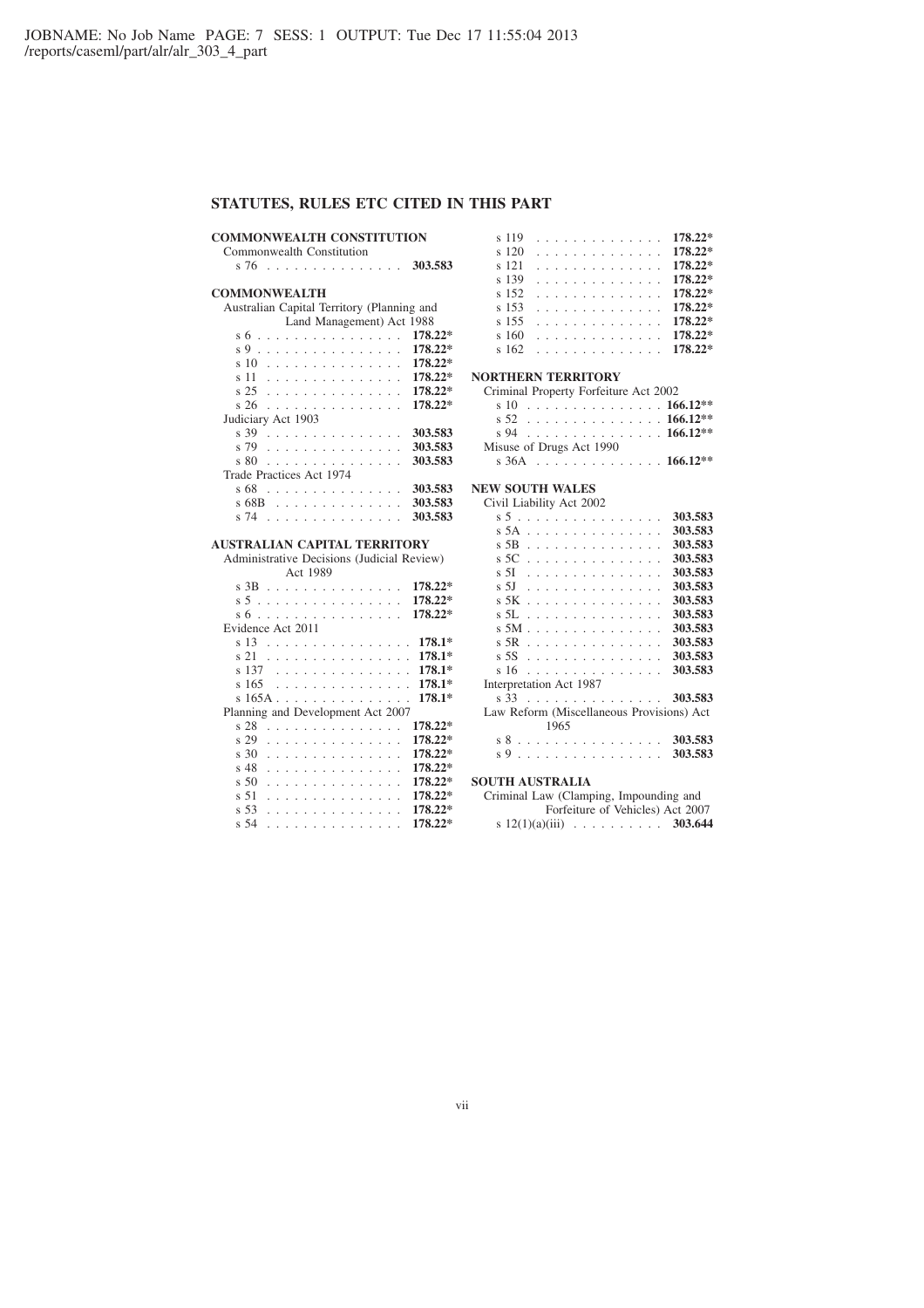# **STATUTES, RULES ETC CITED IN THIS PART**

### **COMMONWEALTH CONSTITUTION**

Commonwealth Constitution s 76 . . . . . . . . . . . . . . . **303.583**

### **COMMONWEALTH**

| Australian Capital Territory (Planning and      |           |  |  |  |  |  |  |  |  |  |  |
|-------------------------------------------------|-----------|--|--|--|--|--|--|--|--|--|--|
| Land Management) Act 1988                       |           |  |  |  |  |  |  |  |  |  |  |
| s 6<br>.                                        | $178.22*$ |  |  |  |  |  |  |  |  |  |  |
| s 9<br>.                                        | 178.22*   |  |  |  |  |  |  |  |  |  |  |
| s 10<br>.                                       | $178.22*$ |  |  |  |  |  |  |  |  |  |  |
| s 11<br>.                                       | $178.22*$ |  |  |  |  |  |  |  |  |  |  |
| s <sub>25</sub><br>.                            | 178.22*   |  |  |  |  |  |  |  |  |  |  |
| $\frac{26}{5}$<br>and a straight and a straight | $178.22*$ |  |  |  |  |  |  |  |  |  |  |
| Judiciary Act 1903                              |           |  |  |  |  |  |  |  |  |  |  |
| s 39<br>.<br>and a state                        | 303.583   |  |  |  |  |  |  |  |  |  |  |
| s 79<br>.                                       | 303.583   |  |  |  |  |  |  |  |  |  |  |
| s 80<br>.                                       | 303.583   |  |  |  |  |  |  |  |  |  |  |
| Trade Practices Act 1974                        |           |  |  |  |  |  |  |  |  |  |  |
| s 68<br>and a straight and a straight           | 303.583   |  |  |  |  |  |  |  |  |  |  |
| s 68B<br>.                                      | 303.583   |  |  |  |  |  |  |  |  |  |  |
| s 74<br>.                                       | 303.583   |  |  |  |  |  |  |  |  |  |  |

#### **AUSTRALIAN CAPITAL TERRITORY**

|                   |  |                                   |  |  |  |          |  |  |  |  |  |  |   |  |  | Administrative Decisions (Judicial Review) |
|-------------------|--|-----------------------------------|--|--|--|----------|--|--|--|--|--|--|---|--|--|--------------------------------------------|
|                   |  |                                   |  |  |  | Act 1989 |  |  |  |  |  |  |   |  |  |                                            |
|                   |  | s 3B                              |  |  |  |          |  |  |  |  |  |  |   |  |  | 178.22*                                    |
|                   |  | s 5                               |  |  |  |          |  |  |  |  |  |  |   |  |  | 178.22*                                    |
|                   |  | s 6                               |  |  |  |          |  |  |  |  |  |  |   |  |  | 178.22*                                    |
| Evidence Act 2011 |  |                                   |  |  |  |          |  |  |  |  |  |  |   |  |  |                                            |
|                   |  | s 13                              |  |  |  |          |  |  |  |  |  |  | . |  |  | $178.1*$                                   |
|                   |  | s 21                              |  |  |  |          |  |  |  |  |  |  |   |  |  | $178.1*$                                   |
|                   |  | s 137                             |  |  |  |          |  |  |  |  |  |  |   |  |  | 178.1*                                     |
|                   |  | s 165                             |  |  |  |          |  |  |  |  |  |  |   |  |  | . 178.1*                                   |
|                   |  | s 165A                            |  |  |  |          |  |  |  |  |  |  |   |  |  | $178.1*$                                   |
|                   |  | Planning and Development Act 2007 |  |  |  |          |  |  |  |  |  |  |   |  |  |                                            |
|                   |  | s 28                              |  |  |  |          |  |  |  |  |  |  | . |  |  | 178.22*                                    |
|                   |  | s 29                              |  |  |  |          |  |  |  |  |  |  | . |  |  | 178.22*                                    |
|                   |  | s 30                              |  |  |  |          |  |  |  |  |  |  | . |  |  | 178.22*                                    |
|                   |  | s 48                              |  |  |  |          |  |  |  |  |  |  | . |  |  | 178.22*                                    |
|                   |  | $\frac{1}{2}$ 50                  |  |  |  |          |  |  |  |  |  |  | . |  |  | 178.22*                                    |
|                   |  | s 51                              |  |  |  |          |  |  |  |  |  |  | . |  |  | 178.22*                                    |
|                   |  | s <sub>53</sub>                   |  |  |  |          |  |  |  |  |  |  | . |  |  | 178.22*                                    |
|                   |  | s 54                              |  |  |  |          |  |  |  |  |  |  | . |  |  | 178.22*                                    |

| s 119   |  |  |  |  |  |  |  | . 178.22* |
|---------|--|--|--|--|--|--|--|-----------|
| s 120   |  |  |  |  |  |  |  | . 178.22* |
| s 121   |  |  |  |  |  |  |  | . 178.22* |
| s 139   |  |  |  |  |  |  |  | . 178.22* |
| $s$ 152 |  |  |  |  |  |  |  | . 178.22* |
| s 153   |  |  |  |  |  |  |  | . 178.22* |
| $s$ 155 |  |  |  |  |  |  |  | . 178.22* |
| s 160   |  |  |  |  |  |  |  | . 178.22* |
| s 162   |  |  |  |  |  |  |  | . 178.22* |
|         |  |  |  |  |  |  |  |           |

## **NORTHERN TERRITORY**

| <b>ORTHERN TERRITORY</b> |                                       |  |  |  |  |  |  |  |  |
|--------------------------|---------------------------------------|--|--|--|--|--|--|--|--|
|                          | Criminal Property Forfeiture Act 2002 |  |  |  |  |  |  |  |  |
|                          | s 10 166.12**                         |  |  |  |  |  |  |  |  |
|                          | s 52 166.12**                         |  |  |  |  |  |  |  |  |
|                          | s 94 166.12**                         |  |  |  |  |  |  |  |  |
| Misuse of Drugs Act 1990 |                                       |  |  |  |  |  |  |  |  |
|                          | s $36A$ 166.12**                      |  |  |  |  |  |  |  |  |

### **NEW SOUTH WALES**

| Civil Liability Act 2002 |
|--------------------------|
|--------------------------|

|                                           |  | s 5                     |  |  |  |                          |                          |                          |                          |                          |        | .                        |                          |        |        |  | 303.583   |
|-------------------------------------------|--|-------------------------|--|--|--|--------------------------|--------------------------|--------------------------|--------------------------|--------------------------|--------|--------------------------|--------------------------|--------|--------|--|-----------|
|                                           |  | s 5A                    |  |  |  |                          |                          |                          |                          |                          |        |                          |                          |        |        |  | 303.583   |
|                                           |  | s 5B                    |  |  |  |                          | $\sim$                   | $\overline{\phantom{a}}$ | $\sim$                   | $\sim$                   | $\sim$ | $\sim$                   |                          |        |        |  | 303.583   |
|                                           |  | s 5C                    |  |  |  |                          | $\overline{\phantom{a}}$ | $\sim$                   | $\overline{\phantom{a}}$ | $\overline{\phantom{a}}$ | $\sim$ | $\sim$                   | $\overline{\phantom{a}}$ | $\sim$ | $\sim$ |  | 303.583   |
|                                           |  | s 5I                    |  |  |  | $\sim$                   | $\sim$                   | $\sim$                   | $\sim$                   |                          |        | and a straight and a     |                          |        |        |  | 303.583   |
|                                           |  | s 5J                    |  |  |  |                          |                          |                          |                          |                          |        | .                        |                          |        |        |  | 303.583   |
|                                           |  | s 5K                    |  |  |  |                          |                          |                          |                          |                          |        | .                        |                          |        |        |  | 303.583   |
|                                           |  | s 5L                    |  |  |  |                          |                          |                          | and a straight           |                          |        | and a straight and       |                          |        |        |  | 303.583   |
|                                           |  | s 5M                    |  |  |  | $\overline{\phantom{a}}$ | $\sim$                   | $\sim$                   | $\sim$                   | ÷.                       | $\sim$ | $\overline{\phantom{a}}$ | $\overline{\phantom{a}}$ | $\sim$ |        |  | 303.583   |
|                                           |  | $s$ 5R                  |  |  |  | $\sim$                   | $\sim$                   | $\sim$                   | $\overline{\phantom{a}}$ | - 1                      | - 1    | $\sim$                   | $\sim$                   | $\sim$ |        |  | 303.583   |
|                                           |  | s 5S                    |  |  |  |                          |                          |                          |                          |                          |        |                          |                          |        |        |  | 303.583   |
|                                           |  | s <sub>16</sub>         |  |  |  |                          |                          |                          |                          |                          |        | .                        |                          |        |        |  | 303.583   |
|                                           |  | Interpretation Act 1987 |  |  |  |                          |                          |                          |                          |                          |        |                          |                          |        |        |  |           |
|                                           |  | s 33                    |  |  |  |                          |                          |                          |                          |                          |        |                          |                          |        |        |  | . 303.583 |
| Law Reform (Miscellaneous Provisions) Act |  |                         |  |  |  |                          |                          |                          |                          |                          |        |                          |                          |        |        |  |           |
|                                           |  |                         |  |  |  |                          | 1965                     |                          |                          |                          |        |                          |                          |        |        |  |           |
|                                           |  | s 8                     |  |  |  |                          |                          |                          |                          |                          |        |                          |                          |        |        |  | 303.583   |
|                                           |  | s 9                     |  |  |  |                          |                          |                          |                          |                          |        | .                        |                          |        |        |  | 303.583   |

### **SOUTH AUSTRALIA**

| Criminal Law (Clamping, Impounding and |                                  |
|----------------------------------------|----------------------------------|
|                                        | Forfeiture of Vehicles) Act 2007 |
|                                        | s $12(1)(a)(iii)$ 303.644        |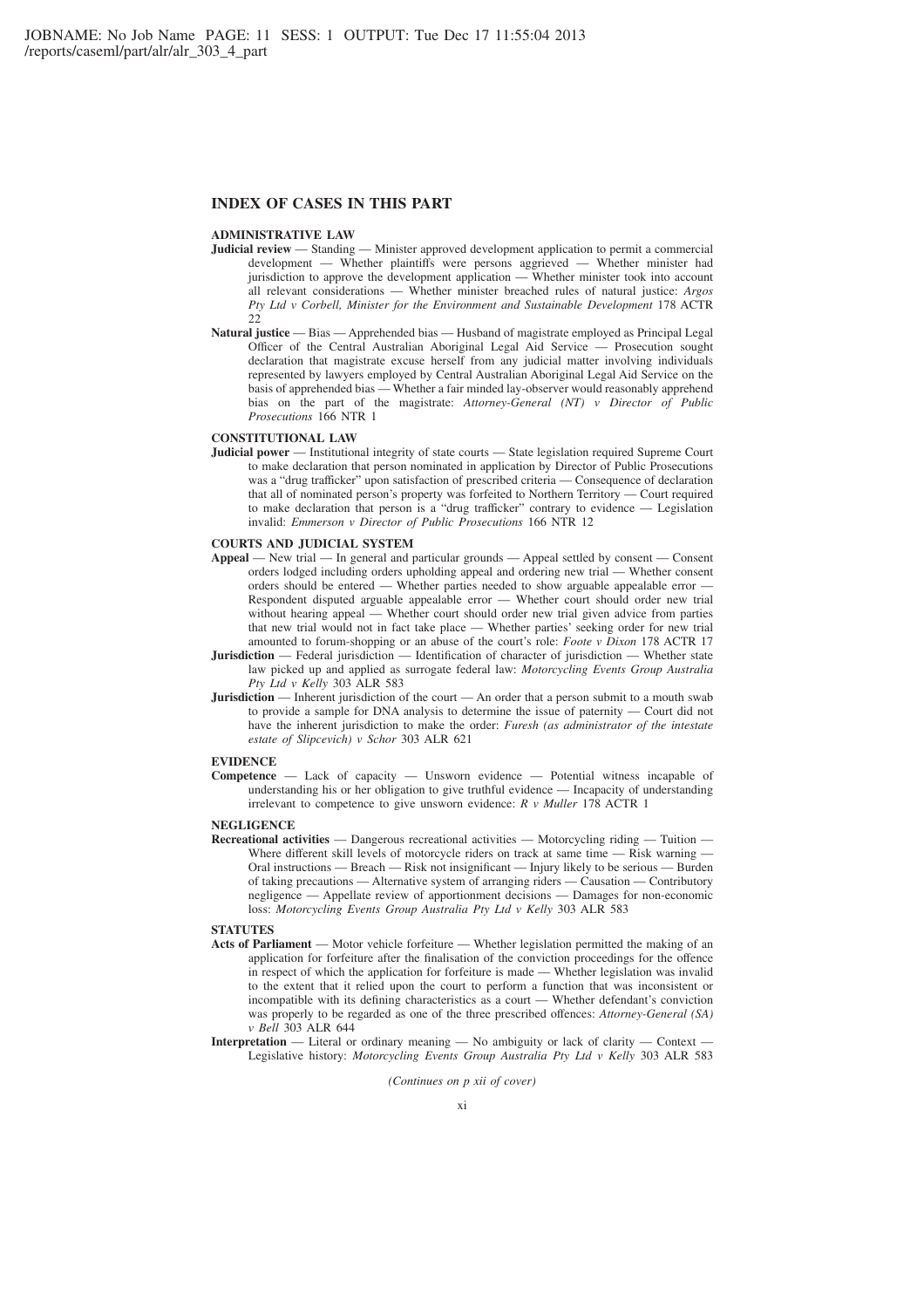### **INDEX OF CASES IN THIS PART**

### **ADMINISTRATIVE LAW**

- **Judicial review** Standing Minister approved development application to permit a commercial development — Whether plaintiffs were persons aggrieved — Whether minister had jurisdiction to approve the development application — Whether minister took into account all relevant considerations — Whether minister breached rules of natural justice: *Argos Pty Ltd v Corbell, Minister for the Environment and Sustainable Development* 178 ACTR  $22$
- **Natural justice** Bias Apprehended bias Husband of magistrate employed as Principal Legal Officer of the Central Australian Aboriginal Legal Aid Service — Prosecution sought declaration that magistrate excuse herself from any judicial matter involving individuals represented by lawyers employed by Central Australian Aboriginal Legal Aid Service on the basis of apprehended bias — Whether a fair minded lay-observer would reasonably apprehend bias on the part of the magistrate: *Attorney-General (NT) v Director of Public Prosecutions* 166 NTR 1

#### **CONSTITUTIONAL LAW**

**Judicial power** — Institutional integrity of state courts — State legislation required Supreme Court to make declaration that person nominated in application by Director of Public Prosecutions was a "drug trafficker" upon satisfaction of prescribed criteria — Consequence of declaration that all of nominated person's property was forfeited to Northern Territory — Court required to make declaration that person is a "drug trafficker" contrary to evidence — Legislation invalid: *Emmerson v Director of Public Prosecutions* 166 NTR 12

### **COURTS AND JUDICIAL SYSTEM**

- **Appeal** New trial In general and particular grounds Appeal settled by consent Consent orders lodged including orders upholding appeal and ordering new trial — Whether consent orders should be entered — Whether parties needed to show arguable appealable error — Respondent disputed arguable appealable error — Whether court should order new trial without hearing appeal — Whether court should order new trial given advice from parties that new trial would not in fact take place — Whether parties' seeking order for new trial amounted to forum-shopping or an abuse of the court's role: *Foote v Dixon* 178 ACTR 17
- **Jurisdiction** Federal jurisdiction Identification of character of jurisdiction Whether state law picked up and applied as surrogate federal law: *Motorcycling Events Group Australia Pty Ltd v Kelly* 303 ALR 583
- **Jurisdiction** Inherent jurisdiction of the court An order that a person submit to a mouth swab to provide a sample for DNA analysis to determine the issue of paternity — Court did not have the inherent jurisdiction to make the order: *Furesh (as administrator of the intestate estate of Slipcevich) v Schor* 303 ALR 621

#### **EVIDENCE**

**Competence** — Lack of capacity — Unsworn evidence — Potential witness incapable of understanding his or her obligation to give truthful evidence — Incapacity of understanding irrelevant to competence to give unsworn evidence: *R v Muller* 178 ACTR 1

#### **NEGLIGENCE**

**Recreational activities** — Dangerous recreational activities — Motorcycling riding — Tuition — Where different skill levels of motorcycle riders on track at same time — Risk warning — Oral instructions — Breach — Risk not insignificant — Injury likely to be serious — Burden of taking precautions — Alternative system of arranging riders — Causation — Contributory negligence — Appellate review of apportionment decisions — Damages for non-economic loss: *Motorcycling Events Group Australia Pty Ltd v Kelly* 303 ALR 583

#### **STATUTES**

- **Acts of Parliament** Motor vehicle forfeiture Whether legislation permitted the making of an application for forfeiture after the finalisation of the conviction proceedings for the offence in respect of which the application for forfeiture is made — Whether legislation was invalid to the extent that it relied upon the court to perform a function that was inconsistent or incompatible with its defining characteristics as a court — Whether defendant's conviction was properly to be regarded as one of the three prescribed offences: *Attorney-General (SA) v Bell* 303 ALR 644
- **Interpretation** Literal or ordinary meaning No ambiguity or lack of clarity Context Legislative history: *Motorcycling Events Group Australia Pty Ltd v Kelly* 303 ALR 583

*(Continues on p xii of cover)*